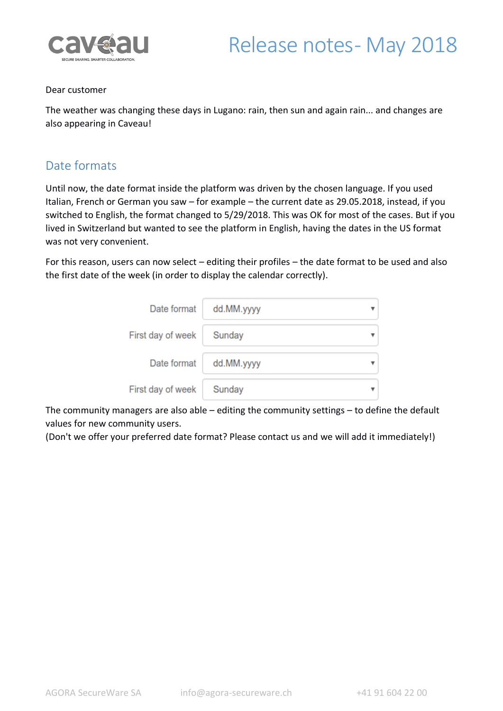

#### Dear customer

The weather was changing these days in Lugano: rain, then sun and again rain... and changes are also appearing in Caveau!

#### Date formats

Until now, the date format inside the platform was driven by the chosen language. If you used Italian, French or German you saw – for example – the current date as 29.05.2018, instead, if you switched to English, the format changed to 5/29/2018. This was OK for most of the cases. But if you lived in Switzerland but wanted to see the platform in English, having the dates in the US format was not very convenient.

For this reason, users can now select – editing their profiles – the date format to be used and also the first date of the week (in order to display the calendar correctly).

| Date format       | dd.MM.yyyy |  |
|-------------------|------------|--|
| First day of week | Sunday     |  |
| Date format       | dd.MM.yyyy |  |
| First day of week | Sunday     |  |

The community managers are also able – editing the community settings – to define the default values for new community users.

(Don't we offer your preferred date format? Please contact us and we will add it immediately!)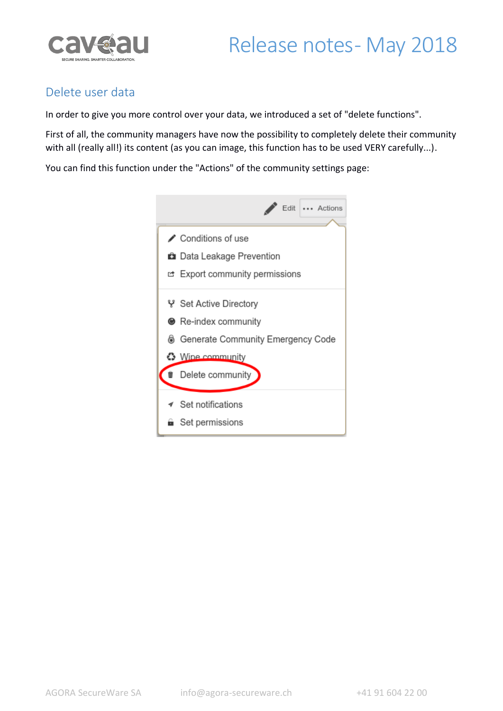# Release notes-May 2018



### Delete user data

In order to give you more control over your data, we introduced a set of "delete functions".

First of all, the community managers have now the possibility to completely delete their community with all (really all!) its content (as you can image, this function has to be used VERY carefully...).

You can find this function under the "Actions" of the community settings page:

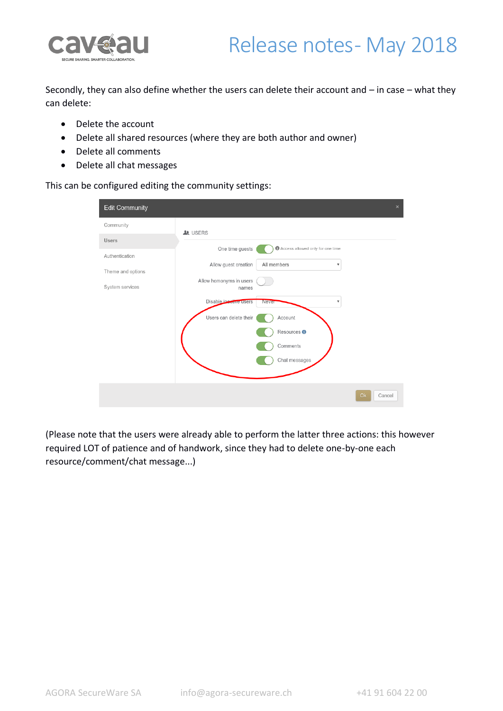

## Release notes-May 2018

Secondly, they can also define whether the users can delete their account and – in case – what they can delete:

- Delete the account
- Delete all shared resources (where they are both author and owner)
- Delete all comments
- Delete all chat messages

This can be configured editing the community settings:

| <b>Edit Community</b> | $\times$                                                             |
|-----------------------|----------------------------------------------------------------------|
| Community             | <b>A</b> USERS                                                       |
| Users                 | One time guests<br>Access allowed only for one time                  |
| Authentication        | Allow guest creation<br>All members<br>۰                             |
| Theme and options     |                                                                      |
| System services       | Allow homonyms in users<br>names                                     |
|                       | Disable in active users<br><b>Never</b><br>$\boldsymbol{\mathrm{v}}$ |
|                       | Users can delete their<br>Account                                    |
|                       | Resources <sup>O</sup>                                               |
|                       | Comments                                                             |
|                       | Chat messages                                                        |
|                       |                                                                      |
|                       | Ok<br>Cancel                                                         |

(Please note that the users were already able to perform the latter three actions: this however required LOT of patience and of handwork, since they had to delete one-by-one each resource/comment/chat message...)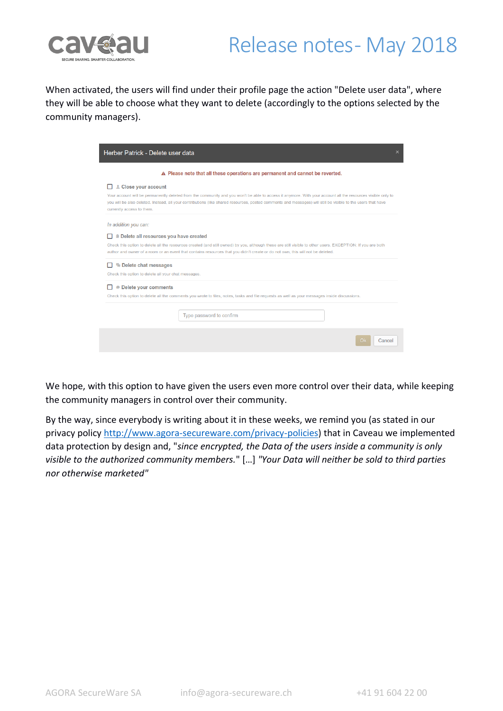

## Release notes-May 2018

When activated, the users will find under their profile page the action "Delete user data", where they will be able to choose what they want to delete (accordingly to the options selected by the community managers).

| Herber Patrick - Delete user data<br>$\times$                                                                                                                                                                                                                                                                                                                                    |  |  |
|----------------------------------------------------------------------------------------------------------------------------------------------------------------------------------------------------------------------------------------------------------------------------------------------------------------------------------------------------------------------------------|--|--|
| A Please note that all these operations are permanent and cannot be reverted.                                                                                                                                                                                                                                                                                                    |  |  |
| L Close your account<br>Your account will be permanently deleted from the community and you won't be able to access it anymore. With your account all the resources visible only to<br>you will be also deleted. Instead, all your contributions (like shared resources, posted comments and messages) will still be visible to the users that have<br>currently access to them. |  |  |
| In addition you can:<br>Delete all resources you have created<br>Check this option to delete all the resources created (and still owned) by you, although these are still visible to other users. EXCEPTION: If you are both<br>author and owner of a room or an event that contains resources that you didn't create or do not own, this will not be deleted.                   |  |  |
| Delete chat messages<br>Check this option to delete all your chat messages.                                                                                                                                                                                                                                                                                                      |  |  |
| <b>Delete your comments</b><br>Check this option to delete all the comments you wrote to files, notes, tasks and file requests as well as your messages inside discussions.                                                                                                                                                                                                      |  |  |
| Type password to confirm                                                                                                                                                                                                                                                                                                                                                         |  |  |
| Cancel<br>Ok                                                                                                                                                                                                                                                                                                                                                                     |  |  |

We hope, with this option to have given the users even more control over their data, while keeping the community managers in control over their community.

By the way, since everybody is writing about it in these weeks, we remind you (as stated in our privacy policy [http://www.agora-secureware.com/privacy-policies\)](http://www.agora-secureware.com/privacy-policies) that in Caveau we implemented data protection by design and, "*since encrypted, the Data of the users inside a community is only visible to the authorized community members.*" […] *"Your Data will neither be sold to third parties nor otherwise marketed"*